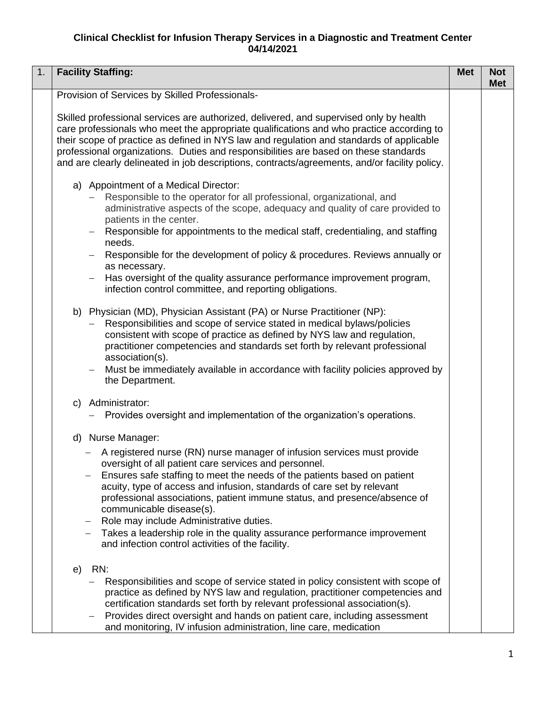## **Clinical Checklist for Infusion Therapy Services in a Diagnostic and Treatment Center 04/14/2021**

| 1. | <b>Facility Staffing:</b>                                                                                                                                                                                                                                                                                                                                                                                                                                                                                                                                                                        | <b>Met</b> | <b>Not</b><br><b>Met</b> |
|----|--------------------------------------------------------------------------------------------------------------------------------------------------------------------------------------------------------------------------------------------------------------------------------------------------------------------------------------------------------------------------------------------------------------------------------------------------------------------------------------------------------------------------------------------------------------------------------------------------|------------|--------------------------|
|    | Provision of Services by Skilled Professionals-                                                                                                                                                                                                                                                                                                                                                                                                                                                                                                                                                  |            |                          |
|    | Skilled professional services are authorized, delivered, and supervised only by health<br>care professionals who meet the appropriate qualifications and who practice according to<br>their scope of practice as defined in NYS law and regulation and standards of applicable<br>professional organizations. Duties and responsibilities are based on these standards<br>and are clearly delineated in job descriptions, contracts/agreements, and/or facility policy.                                                                                                                          |            |                          |
|    | a) Appointment of a Medical Director:<br>Responsible to the operator for all professional, organizational, and<br>administrative aspects of the scope, adequacy and quality of care provided to<br>patients in the center.<br>Responsible for appointments to the medical staff, credentialing, and staffing<br>needs.<br>Responsible for the development of policy & procedures. Reviews annually or<br>as necessary.<br>Has oversight of the quality assurance performance improvement program,<br>infection control committee, and reporting obligations.                                     |            |                          |
|    | b) Physician (MD), Physician Assistant (PA) or Nurse Practitioner (NP):<br>Responsibilities and scope of service stated in medical bylaws/policies<br>consistent with scope of practice as defined by NYS law and regulation,<br>practitioner competencies and standards set forth by relevant professional<br>association(s).<br>Must be immediately available in accordance with facility policies approved by<br>$\overline{\phantom{m}}$<br>the Department.                                                                                                                                  |            |                          |
|    | c) Administrator:<br>Provides oversight and implementation of the organization's operations.                                                                                                                                                                                                                                                                                                                                                                                                                                                                                                     |            |                          |
|    | d) Nurse Manager:<br>A registered nurse (RN) nurse manager of infusion services must provide<br>oversight of all patient care services and personnel.<br>Ensures safe staffing to meet the needs of the patients based on patient<br>acuity, type of access and infusion, standards of care set by relevant<br>professional associations, patient immune status, and presence/absence of<br>communicable disease(s).<br>Role may include Administrative duties.<br>Takes a leadership role in the quality assurance performance improvement<br>and infection control activities of the facility. |            |                          |
|    | RN:<br>e)<br>Responsibilities and scope of service stated in policy consistent with scope of<br>practice as defined by NYS law and regulation, practitioner competencies and<br>certification standards set forth by relevant professional association(s).<br>Provides direct oversight and hands on patient care, including assessment<br>$\overline{\phantom{m}}$<br>and monitoring, IV infusion administration, line care, medication                                                                                                                                                         |            |                          |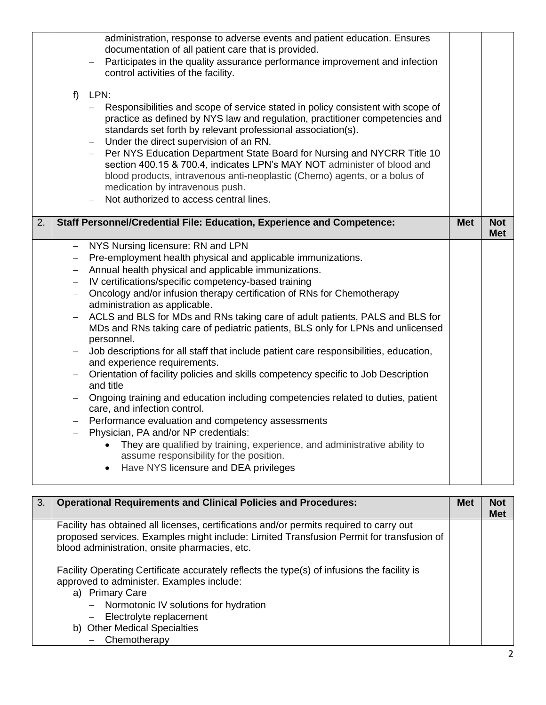|    | f                        | administration, response to adverse events and patient education. Ensures<br>documentation of all patient care that is provided.<br>Participates in the quality assurance performance improvement and infection<br>control activities of the facility.<br>LPN:<br>Responsibilities and scope of service stated in policy consistent with scope of<br>$\overline{\phantom{0}}$<br>practice as defined by NYS law and regulation, practitioner competencies and |            |            |
|----|--------------------------|---------------------------------------------------------------------------------------------------------------------------------------------------------------------------------------------------------------------------------------------------------------------------------------------------------------------------------------------------------------------------------------------------------------------------------------------------------------|------------|------------|
|    |                          | standards set forth by relevant professional association(s).<br>Under the direct supervision of an RN.<br>Per NYS Education Department State Board for Nursing and NYCRR Title 10<br>section 400.15 & 700.4, indicates LPN's MAY NOT administer of blood and<br>blood products, intravenous anti-neoplastic (Chemo) agents, or a bolus of<br>medication by intravenous push.<br>Not authorized to access central lines.                                       |            |            |
| 2. |                          | Staff Personnel/Credential File: Education, Experience and Competence:                                                                                                                                                                                                                                                                                                                                                                                        | <b>Met</b> | <b>Not</b> |
|    |                          |                                                                                                                                                                                                                                                                                                                                                                                                                                                               |            | <b>Met</b> |
|    | $\overline{\phantom{0}}$ | NYS Nursing licensure: RN and LPN                                                                                                                                                                                                                                                                                                                                                                                                                             |            |            |
|    |                          | Pre-employment health physical and applicable immunizations.                                                                                                                                                                                                                                                                                                                                                                                                  |            |            |
|    |                          | Annual health physical and applicable immunizations.                                                                                                                                                                                                                                                                                                                                                                                                          |            |            |
|    |                          | IV certifications/specific competency-based training                                                                                                                                                                                                                                                                                                                                                                                                          |            |            |
|    |                          | Oncology and/or infusion therapy certification of RNs for Chemotherapy<br>administration as applicable.                                                                                                                                                                                                                                                                                                                                                       |            |            |
|    |                          | ACLS and BLS for MDs and RNs taking care of adult patients, PALS and BLS for<br>MDs and RNs taking care of pediatric patients, BLS only for LPNs and unlicensed<br>personnel.                                                                                                                                                                                                                                                                                 |            |            |
|    |                          | Job descriptions for all staff that include patient care responsibilities, education,<br>and experience requirements.                                                                                                                                                                                                                                                                                                                                         |            |            |
|    |                          | Orientation of facility policies and skills competency specific to Job Description<br>and title                                                                                                                                                                                                                                                                                                                                                               |            |            |
|    |                          | Ongoing training and education including competencies related to duties, patient                                                                                                                                                                                                                                                                                                                                                                              |            |            |
|    |                          | care, and infection control.                                                                                                                                                                                                                                                                                                                                                                                                                                  |            |            |
|    |                          | Performance evaluation and competency assessments                                                                                                                                                                                                                                                                                                                                                                                                             |            |            |
|    | $\overline{\phantom{0}}$ | Physician, PA and/or NP credentials:                                                                                                                                                                                                                                                                                                                                                                                                                          |            |            |
|    |                          | They are qualified by training, experience, and administrative ability to<br>$\bullet$<br>assume responsibility for the position.                                                                                                                                                                                                                                                                                                                             |            |            |
|    |                          | Have NYS licensure and DEA privileges<br>$\bullet$                                                                                                                                                                                                                                                                                                                                                                                                            |            |            |
|    |                          |                                                                                                                                                                                                                                                                                                                                                                                                                                                               |            |            |

| 3. | <b>Operational Requirements and Clinical Policies and Procedures:</b>                                                                                                                                                                                                               | <b>Met</b> | <b>Not</b><br><b>Met</b> |
|----|-------------------------------------------------------------------------------------------------------------------------------------------------------------------------------------------------------------------------------------------------------------------------------------|------------|--------------------------|
|    | Facility has obtained all licenses, certifications and/or permits required to carry out<br>proposed services. Examples might include: Limited Transfusion Permit for transfusion of<br>blood administration, onsite pharmacies, etc.                                                |            |                          |
|    | Facility Operating Certificate accurately reflects the type(s) of infusions the facility is<br>approved to administer. Examples include:<br>a) Primary Care<br>- Normotonic IV solutions for hydration<br>- Electrolyte replacement<br>b) Other Medical Specialties<br>Chemotherapy |            |                          |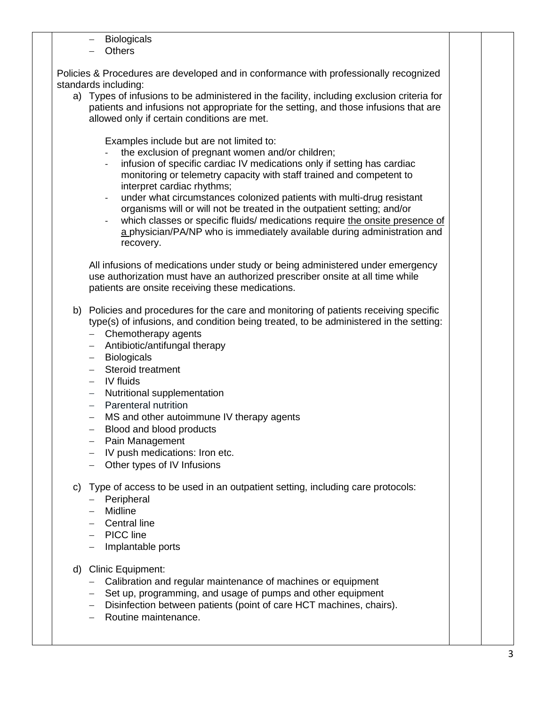- Biologicals
- − Others

Policies & Procedures are developed and in conformance with professionally recognized standards including:

a) Types of infusions to be administered in the facility, including exclusion criteria for patients and infusions not appropriate for the setting, and those infusions that are allowed only if certain conditions are met.

Examples include but are not limited to:

- the exclusion of pregnant women and/or children;
- infusion of specific cardiac IV medications only if setting has cardiac monitoring or telemetry capacity with staff trained and competent to interpret cardiac rhythms;
- under what circumstances colonized patients with multi-drug resistant organisms will or will not be treated in the outpatient setting; and/or
- which classes or specific fluids/ medications require the onsite presence of a physician/PA/NP who is immediately available during administration and recovery.

All infusions of medications under study or being administered under emergency use authorization must have an authorized prescriber onsite at all time while patients are onsite receiving these medications.

- b) Policies and procedures for the care and monitoring of patients receiving specific type(s) of infusions, and condition being treated, to be administered in the setting:
	- − Chemotherapy agents
	- − Antibiotic/antifungal therapy
	- − Biologicals
	- − Steroid treatment
	- − IV fluids
	- − Nutritional supplementation
	- − Parenteral nutrition
	- − MS and other autoimmune IV therapy agents
	- − Blood and blood products
	- − Pain Management
	- − IV push medications: Iron etc.
	- − Other types of IV Infusions
- c) Type of access to be used in an outpatient setting, including care protocols:
	- − Peripheral
	- − Midline
	- − Central line
	- − PICC line
	- − Implantable ports
- d) Clinic Equipment:
	- − Calibration and regular maintenance of machines or equipment
	- − Set up, programming, and usage of pumps and other equipment
	- − Disinfection between patients (point of care HCT machines, chairs).
	- − Routine maintenance.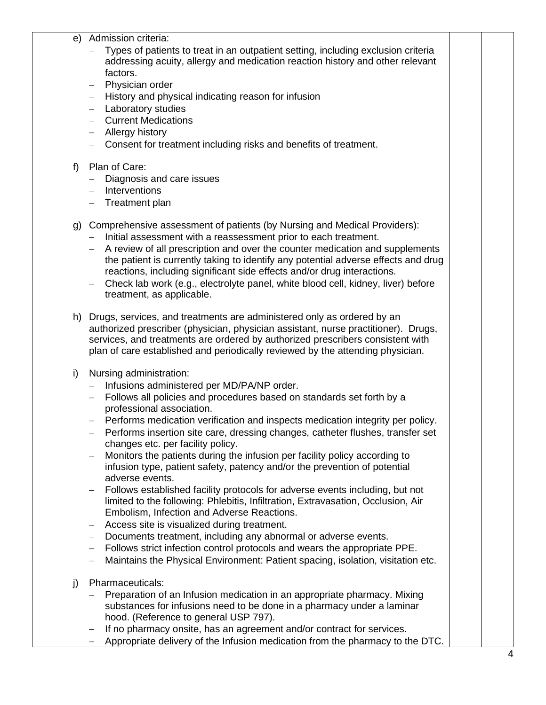## e) Admission criteria:

- − Types of patients to treat in an outpatient setting, including exclusion criteria addressing acuity, allergy and medication reaction history and other relevant factors.
- − Physician order
- − History and physical indicating reason for infusion
- − Laboratory studies
- − Current Medications
- − Allergy history
- − Consent for treatment including risks and benefits of treatment.

## f) Plan of Care:

- − Diagnosis and care issues
- − Interventions
- − Treatment plan
- g) Comprehensive assessment of patients (by Nursing and Medical Providers):
	- − Initial assessment with a reassessment prior to each treatment.
	- − A review of all prescription and over the counter medication and supplements the patient is currently taking to identify any potential adverse effects and drug reactions, including significant side effects and/or drug interactions.
	- − Check lab work (e.g., electrolyte panel, white blood cell, kidney, liver) before treatment, as applicable.
- h) Drugs, services, and treatments are administered only as ordered by an authorized prescriber (physician, physician assistant, nurse practitioner).Drugs, services, and treatments are ordered by authorized prescribers consistent with plan of care established and periodically reviewed by the attending physician.
- i) Nursing administration:
	- − Infusions administered per MD/PA/NP order.
	- − Follows all policies and procedures based on standards set forth by a professional association.
	- − Performs medication verification and inspects medication integrity per policy.
	- − Performs insertion site care, dressing changes, catheter flushes, transfer set changes etc. per facility policy.
	- − Monitors the patients during the infusion per facility policy according to infusion type, patient safety, patency and/or the prevention of potential adverse events.
	- − Follows established facility protocols for adverse events including, but not limited to the following: Phlebitis, Infiltration, Extravasation, Occlusion, Air Embolism, Infection and Adverse Reactions.
	- − Access site is visualized during treatment.
	- − Documents treatment, including any abnormal or adverse events.
	- − Follows strict infection control protocols and wears the appropriate PPE.
	- − Maintains the Physical Environment: Patient spacing, isolation, visitation etc.
- j) Pharmaceuticals:
	- − Preparation of an Infusion medication in an appropriate pharmacy. Mixing substances for infusions need to be done in a pharmacy under a laminar hood. (Reference to general USP 797).
	- − If no pharmacy onsite, has an agreement and/or contract for services.
	- − Appropriate delivery of the Infusion medication from the pharmacy to the DTC.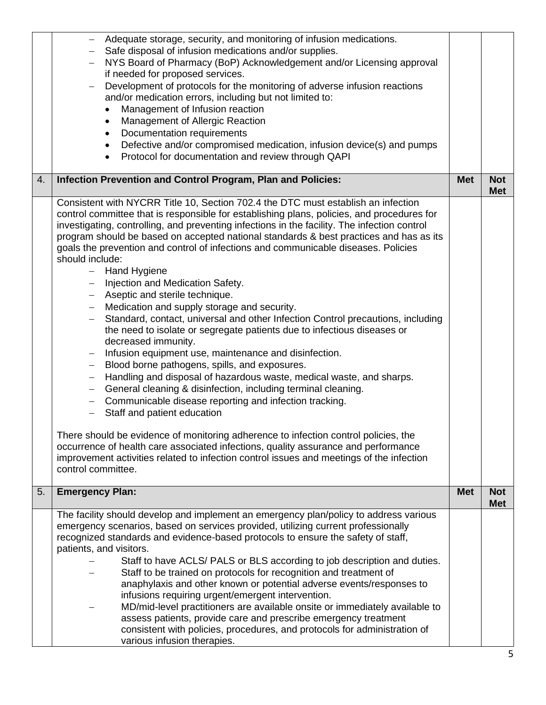|    | Adequate storage, security, and monitoring of infusion medications.<br>Safe disposal of infusion medications and/or supplies.<br>NYS Board of Pharmacy (BoP) Acknowledgement and/or Licensing approval<br>if needed for proposed services.<br>Development of protocols for the monitoring of adverse infusion reactions<br>$\qquad \qquad -$<br>and/or medication errors, including but not limited to:<br>Management of Infusion reaction<br>Management of Allergic Reaction<br>$\bullet$<br>Documentation requirements<br>$\bullet$<br>Defective and/or compromised medication, infusion device(s) and pumps<br>Protocol for documentation and review through QAPI                                                                                                                                                                                                                                                                                                                                                                                                                                                                                                                                                                                                                                                                                                                                                                                                                                                        |            |                          |
|----|-----------------------------------------------------------------------------------------------------------------------------------------------------------------------------------------------------------------------------------------------------------------------------------------------------------------------------------------------------------------------------------------------------------------------------------------------------------------------------------------------------------------------------------------------------------------------------------------------------------------------------------------------------------------------------------------------------------------------------------------------------------------------------------------------------------------------------------------------------------------------------------------------------------------------------------------------------------------------------------------------------------------------------------------------------------------------------------------------------------------------------------------------------------------------------------------------------------------------------------------------------------------------------------------------------------------------------------------------------------------------------------------------------------------------------------------------------------------------------------------------------------------------------|------------|--------------------------|
| 4. | Infection Prevention and Control Program, Plan and Policies:                                                                                                                                                                                                                                                                                                                                                                                                                                                                                                                                                                                                                                                                                                                                                                                                                                                                                                                                                                                                                                                                                                                                                                                                                                                                                                                                                                                                                                                                | <b>Met</b> | <b>Not</b><br><b>Met</b> |
|    | Consistent with NYCRR Title 10, Section 702.4 the DTC must establish an infection<br>control committee that is responsible for establishing plans, policies, and procedures for<br>investigating, controlling, and preventing infections in the facility. The infection control<br>program should be based on accepted national standards & best practices and has as its<br>goals the prevention and control of infections and communicable diseases. Policies<br>should include:<br>- Hand Hygiene<br>- Injection and Medication Safety.<br>- Aseptic and sterile technique.<br>Medication and supply storage and security.<br>$\equiv$ $^{-1}$<br>Standard, contact, universal and other Infection Control precautions, including<br>the need to isolate or segregate patients due to infectious diseases or<br>decreased immunity.<br>Infusion equipment use, maintenance and disinfection.<br>$\qquad \qquad -$<br>Blood borne pathogens, spills, and exposures.<br>$-$<br>Handling and disposal of hazardous waste, medical waste, and sharps.<br>General cleaning & disinfection, including terminal cleaning.<br>$-$<br>Communicable disease reporting and infection tracking.<br>$-$<br>Staff and patient education<br>There should be evidence of monitoring adherence to infection control policies, the<br>occurrence of health care associated infections, quality assurance and performance<br>improvement activities related to infection control issues and meetings of the infection<br>control committee. |            |                          |
| 5. | <b>Emergency Plan:</b>                                                                                                                                                                                                                                                                                                                                                                                                                                                                                                                                                                                                                                                                                                                                                                                                                                                                                                                                                                                                                                                                                                                                                                                                                                                                                                                                                                                                                                                                                                      | <b>Met</b> | <b>Not</b><br><b>Met</b> |
|    | The facility should develop and implement an emergency plan/policy to address various<br>emergency scenarios, based on services provided, utilizing current professionally<br>recognized standards and evidence-based protocols to ensure the safety of staff,<br>patients, and visitors.<br>Staff to have ACLS/ PALS or BLS according to job description and duties.<br>Staff to be trained on protocols for recognition and treatment of<br>anaphylaxis and other known or potential adverse events/responses to<br>infusions requiring urgent/emergent intervention.<br>MD/mid-level practitioners are available onsite or immediately available to<br>assess patients, provide care and prescribe emergency treatment<br>consistent with policies, procedures, and protocols for administration of<br>various infusion therapies.                                                                                                                                                                                                                                                                                                                                                                                                                                                                                                                                                                                                                                                                                       |            |                          |